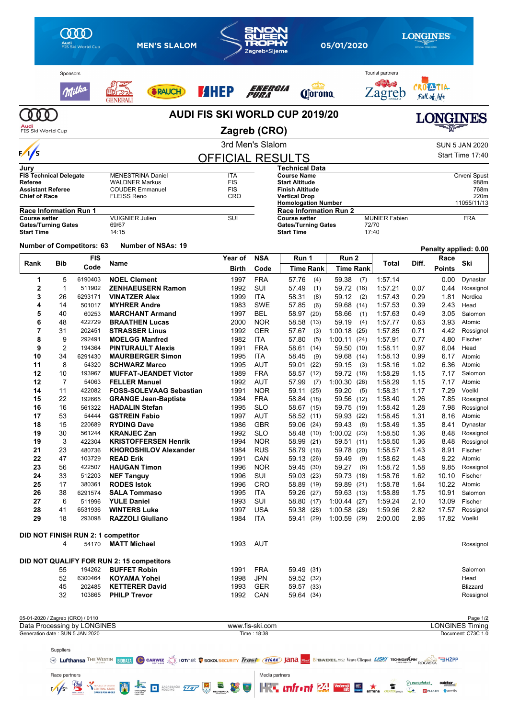|                                                  | Audi<br>FIS Ski World Cup     |                                                                |                                                           | <b>MEN'S SLALOM</b>                                                                                                     |                                       | SNOW<br>Zagreb·Sljeme          | 05/01/2020               |                                                              |                      |                            | LONGINES |                                       |              |                                       |                                              |
|--------------------------------------------------|-------------------------------|----------------------------------------------------------------|-----------------------------------------------------------|-------------------------------------------------------------------------------------------------------------------------|---------------------------------------|--------------------------------|--------------------------|--------------------------------------------------------------|----------------------|----------------------------|----------|---------------------------------------|--------------|---------------------------------------|----------------------------------------------|
|                                                  | Sponsors                      | Wielka                                                         |                                                           | <b>FRAUCH</b>                                                                                                           | <b>AHEP</b>                           |                                | energia<br>Pura          |                                                              | <b><i>Corona</i></b> |                            |          | <b>Tourist partners</b><br>∠agreb     |              | CROMINA<br>Full of life               |                                              |
| FIS Ski World Cup                                |                               |                                                                |                                                           |                                                                                                                         | <b>AUDI FIS SKI WORLD CUP 2019/20</b> | Zagreb (CRO)                   |                          |                                                              |                      |                            |          |                                       |              |                                       | <b>LONGINES</b>                              |
|                                                  |                               |                                                                |                                                           |                                                                                                                         |                                       | 3rd Men's Slalom               |                          |                                                              |                      |                            |          |                                       |              |                                       | <b>SUN 5 JAN 2020</b>                        |
| $\frac{1}{s}$                                    |                               |                                                                |                                                           |                                                                                                                         |                                       |                                |                          |                                                              |                      |                            |          |                                       |              |                                       | Start Time 17:40                             |
| Jurv                                             |                               |                                                                |                                                           |                                                                                                                         | <b>OFFICIAL RESULTS</b>               |                                |                          | Technical Data                                               |                      |                            |          |                                       |              |                                       |                                              |
|                                                  | <b>FIS Technical Delegate</b> |                                                                | <b>MENESTRINA Daniel</b>                                  |                                                                                                                         | ITA                                   |                                |                          | <b>Course Name</b>                                           |                      |                            |          |                                       |              |                                       | Crveni Spust                                 |
| Referee                                          |                               |                                                                | <b>WALDNER Markus</b>                                     |                                                                                                                         | <b>FIS</b>                            |                                |                          | <b>Start Altitude</b>                                        |                      |                            |          |                                       |              |                                       | 988m                                         |
| <b>Assistant Referee</b><br><b>Chief of Race</b> |                               |                                                                | <b>COUDER Emmanuel</b><br><b>FLEISS Reno</b>              |                                                                                                                         | <b>FIS</b><br>CRO                     |                                |                          | Finish Altitude<br>Vertical Drop                             |                      |                            |          |                                       |              |                                       | 768m<br>220m                                 |
|                                                  |                               |                                                                |                                                           |                                                                                                                         |                                       |                                |                          | <b>Homologation Number</b>                                   |                      |                            |          |                                       |              |                                       | 11055/11/13                                  |
| <b>Course setter</b>                             | <b>Race Information Run 1</b> |                                                                | <b>VUIGNIER Julien</b>                                    |                                                                                                                         | SUI                                   |                                |                          | <b>Race Information Run 2</b><br><b>Course setter</b>        |                      |                            |          | <b>MUNIER Fabien</b>                  |              |                                       | <b>FRA</b>                                   |
| <b>Start Time</b>                                | <b>Gates/Turning Gates</b>    |                                                                | 69/67<br>14:15                                            |                                                                                                                         |                                       |                                |                          | <b>Gates/Turning Gates</b><br><b>Start Time</b>              |                      |                            |          | 72/70<br>17:40                        |              |                                       |                                              |
|                                                  |                               | <b>Number of Competitors: 63</b>                               |                                                           | <b>Number of NSAs: 19</b>                                                                                               |                                       |                                |                          |                                                              |                      |                            |          |                                       |              |                                       | Penalty applied: 0.00                        |
| Rank                                             | <b>Bib</b>                    | <b>FIS</b>                                                     | Name                                                      |                                                                                                                         | Year of                               |                                | <b>NSA</b>               | Run 1                                                        |                      | Run 2                      |          | Total                                 | Diff.        | Race                                  | Ski                                          |
|                                                  |                               | Code                                                           |                                                           |                                                                                                                         |                                       | <b>Birth</b>                   | Code                     | Time Rank                                                    |                      | <b>Time Rank</b>           |          |                                       |              | <b>Points</b>                         |                                              |
| 1<br>$\overline{2}$                              | 5<br>$\mathbf{1}$             | 6190403                                                        | <b>NOEL Clement</b>                                       |                                                                                                                         |                                       | 1997                           | <b>FRA</b><br>SUI        | 57.76                                                        | (4)                  | 59.38                      | (7)      | 1:57.14                               |              | 0.00                                  | Dynastar                                     |
| 3                                                | 26                            | 511902<br>6293171                                              | <b>VINATZER Alex</b>                                      | <b>ZENHAEUSERN Ramon</b>                                                                                                |                                       | 1992<br>1999                   | ITA                      | 57.49<br>58.31                                               | (1)<br>(8)           | 59.72 (16)<br>59.12        | (2)      | 1:57.21<br>1:57.43                    | 0.07<br>0.29 | 0.44<br>1.81                          | Rossignol<br>Nordica                         |
| 4                                                | 14                            | 501017                                                         | <b>MYHRER Andre</b>                                       |                                                                                                                         |                                       | 1983                           | <b>SWE</b>               | 57.85                                                        | (6)                  | 59.68 (14)                 |          | 1:57.53                               | 0.39         | 2.43                                  | Head                                         |
| 5                                                | 40                            | 60253                                                          |                                                           | <b>MARCHANT Armand</b>                                                                                                  |                                       | 1997                           | <b>BEL</b>               | 58.97 (20)                                                   |                      | 58.66                      | (1)      | 1:57.63                               | 0.49         | 3.05                                  | Salomon                                      |
| 6                                                | 48                            | 422729                                                         | <b>BRAATHEN Lucas</b>                                     |                                                                                                                         |                                       | 2000                           | <b>NOR</b>               | 58.58 (13)                                                   |                      | 59.19                      | (4)      | 1:57.77                               | 0.63         | 3.93                                  | Atomic                                       |
| 7                                                | 31                            | 202451                                                         | <b>STRASSER Linus</b>                                     |                                                                                                                         |                                       | 1992                           | <b>GER</b>               | 57.67                                                        | (3)                  | 1:00.18(25)                |          | 1:57.85                               | 0.71         | 4.42                                  | Rossignol                                    |
| 8                                                | 9                             | 292491                                                         | <b>MOELGG Manfred</b>                                     |                                                                                                                         |                                       | 1982                           | ITA                      | 57.80                                                        | (5)                  | 1:00.11(24)                |          | 1:57.91                               | 0.77         | 4.80                                  | Fischer                                      |
| 9                                                | 2                             | 194364                                                         |                                                           | <b>PINTURAULT Alexis</b>                                                                                                |                                       | 1991                           | <b>FRA</b>               | 58.61 (14)                                                   |                      | 59.50 (10)                 |          | 1:58.11                               | 0.97         | 6.04                                  | Head                                         |
| 10                                               | 34<br>8                       | 6291430                                                        |                                                           | <b>MAURBERGER Simon</b>                                                                                                 |                                       | 1995                           | ITA                      | 58.45                                                        | (9)                  | 59.68 (14)                 |          | 1:58.13                               | 0.99         | 6.17                                  | Atomic                                       |
| 11<br>12                                         | 10                            | 54320<br>193967                                                | <b>SCHWARZ Marco</b>                                      | <b>MUFFAT-JEANDET Victor</b>                                                                                            |                                       | 1995<br>1989                   | AUT<br><b>FRA</b>        | 59.01 (22)<br>58.57 (12)                                     |                      | 59.15<br>59.72 (16)        | (3)      | 1:58.16<br>1:58.29                    | 1.02<br>1.15 | 6.36<br>7.17                          | Atomic<br>Salomon                            |
| 12                                               | 7                             | 54063                                                          | <b>FELLER Manuel</b>                                      |                                                                                                                         |                                       | 1992                           | AUT                      | 57.99                                                        | (7)                  | 1:00.30(26)                |          | 1:58.29                               | 1.15         | 7.17                                  | Atomic                                       |
| 14                                               | 11                            | 422082                                                         |                                                           | <b>FOSS-SOLEVAAG Sebastian</b>                                                                                          |                                       | 1991                           | <b>NOR</b>               | 59.11                                                        | (25)                 | 59.20                      | (5)      | 1:58.31                               | 1.17         | 7.29                                  | Voelkl                                       |
| 15                                               | 22                            | 192665                                                         |                                                           | <b>GRANGE Jean-Baptiste</b>                                                                                             |                                       | 1984                           | <b>FRA</b>               | 58.84 (18)                                                   |                      | 59.56 (12)                 |          | 1:58.40                               | 1.26         | 7.85                                  | Rossignol                                    |
| 16                                               | 16                            | 561322                                                         | <b>HADALIN Stetan</b>                                     |                                                                                                                         |                                       | 1995                           | <b>SLO</b>               | 58.67 (15)                                                   |                      | 59.75 (19)                 |          | 1:58.42                               | 1.28         | 7.98                                  | Rossignol                                    |
| 17                                               | 53                            | 54444                                                          | <b>GSTREIN Fabio</b>                                      |                                                                                                                         |                                       | 1997                           | AUT                      | 58.52 (11)                                                   |                      | 59.93 (22)                 |          | 1:58.45                               | 1.31         | 8.16                                  | Atomic                                       |
| 18                                               | 15                            | 220689                                                         | <b>RYDING Dave</b>                                        |                                                                                                                         |                                       | 1986                           | <b>GBR</b>               | 59.06 (24)                                                   |                      | 59.43(8)                   |          | 1:58.49                               | 1.35         | 8.41                                  | Dynastar                                     |
| 19<br>19                                         | 30<br>3                       | 561244<br>422304                                               | <b>KRANJEC Zan</b>                                        | <b>KRISTOFFERSEN Henrik</b>                                                                                             |                                       | 1992<br>1994                   | <b>SLO</b><br><b>NOR</b> | 58.48 (10)<br>58.99 (21)                                     |                      | 1:00.02(23)<br>59.51 (11)  |          | 1:58.50<br>1:58.50                    | 1.36<br>1.36 | 8.48<br>8.48                          | Rossignol                                    |
| 21                                               | 23                            | 480736                                                         |                                                           | <b>KHOROSHILOV Alexander</b>                                                                                            |                                       | 1984                           | <b>RUS</b>               | 58.79 (16)                                                   |                      | 59.78 (20)                 |          | 1:58.57                               | 1.43         | 8.91                                  | Rossignol<br>Fischer                         |
| 22                                               | 47                            | 103729                                                         | <b>READ Erik</b>                                          |                                                                                                                         |                                       | 1991                           | CAN                      | 59.13 (26)                                                   |                      | 59.49                      | (9)      | 1:58.62                               | 1.48         | 9.22                                  | Atomic                                       |
| 23                                               | 56                            | 422507                                                         | <b>HAUGAN Timon</b>                                       |                                                                                                                         |                                       | 1996                           | <b>NOR</b>               | 59.45 (30)                                                   |                      | 59.27                      | (6)      | 1:58.72                               | 1.58         | 9.85                                  | Rossignol                                    |
| 24                                               | 33                            | 512203                                                         | <b>NEF Tanguy</b>                                         |                                                                                                                         |                                       | 1996                           | SUI                      | 59.03 (23)                                                   |                      | 59.73 (18)                 |          | 1:58.76                               | 1.62         | 10.10                                 | Fischer                                      |
| 25                                               | 17                            | 380361                                                         | <b>RODES Istok</b>                                        |                                                                                                                         |                                       | 1996                           | <b>CRO</b>               | 58.89 (19)                                                   |                      | 59.89 (21)                 |          | 1:58.78                               | 1.64         | 10.22                                 | Atomic                                       |
| 26                                               | 38                            | 6291574                                                        | <b>SALA Tommaso</b>                                       |                                                                                                                         |                                       | 1995                           | <b>ITA</b>               | 59.26 (27)                                                   |                      | 59.63 (13)                 |          | 1:58.89                               | 1.75         | 10.91                                 | Salomon                                      |
| 27<br>28                                         | 6<br>41                       | 511996<br>6531936                                              | <b>YULE Daniel</b><br><b>WINTERS Luke</b>                 |                                                                                                                         |                                       | 1993<br>1997                   | SUI<br><b>USA</b>        | 58.80 (17)<br>59.38 (28)                                     |                      | 1:00.44(27)<br>1:00.58(28) |          | 1:59.24<br>1:59.96                    | 2.10<br>2.82 | 13.09<br>17.57                        | Fischer<br>Rossignol                         |
| 29                                               | 18                            | 293098                                                         | <b>RAZZOLI Giuliano</b>                                   |                                                                                                                         |                                       | 1984                           | <b>ITA</b>               | 59.41 (29)                                                   |                      | 1:00.59(29)                |          | 2:00.00                               | 2.86         |                                       | 17.82 Voelkl                                 |
|                                                  | 4                             | 54170                                                          | DID NOT FINISH RUN 2: 1 competitor<br><b>MATT Michael</b> |                                                                                                                         |                                       | 1993                           | AUT                      |                                                              |                      |                            |          |                                       |              |                                       | Rossignol                                    |
|                                                  |                               |                                                                | DID NOT QUALIFY FOR RUN 2: 15 competitors                 |                                                                                                                         |                                       |                                |                          |                                                              |                      |                            |          |                                       |              |                                       |                                              |
|                                                  | 55<br>52                      | 194262                                                         | <b>BUFFET Robin</b>                                       |                                                                                                                         |                                       | 1991                           | <b>FRA</b><br><b>JPN</b> | 59.49 (31)                                                   |                      |                            |          |                                       |              |                                       | Salomon                                      |
|                                                  | 45                            | 6300464<br>202485                                              | <b>KOYAMA Yohei</b><br><b>KETTERER David</b>              |                                                                                                                         |                                       | 1998<br>1993                   | GER                      | 59.52 (32)<br>59.57 (33)                                     |                      |                            |          |                                       |              |                                       | Head<br>Blizzard                             |
|                                                  | 32                            | 103865                                                         | <b>PHILP Trevor</b>                                       |                                                                                                                         |                                       | 1992                           | CAN                      | 59.64 (34)                                                   |                      |                            |          |                                       |              |                                       | Rossignol                                    |
|                                                  |                               | 05-01-2020 / Zagreb (CRO) / 0110                               |                                                           |                                                                                                                         |                                       |                                |                          |                                                              |                      |                            |          |                                       |              |                                       | Page 1/2                                     |
|                                                  |                               | Data Processing by LONGINES<br>Generation date: SUN 5 JAN 2020 |                                                           |                                                                                                                         |                                       | www.fis-ski.com<br>Time: 18:38 |                          |                                                              |                      |                            |          |                                       |              |                                       | <b>LONGINES Timing</b><br>Document: C73C 1.0 |
|                                                  | Suppliers                     |                                                                |                                                           |                                                                                                                         |                                       |                                |                          |                                                              |                      |                            |          |                                       |              |                                       |                                              |
|                                                  |                               |                                                                |                                                           | WE LUTTHANSA THE WESTIN BIDBATA C CARWIZ SONOL SECURITY Trast (KARA) JANA SEBADEL/S62 Veuve Clicquot LISK/ TECHNOSTAPIN |                                       |                                |                          |                                                              |                      |                            |          |                                       | ROGASKA      | <b>"ਚਮ2ਂPP</b>                        |                                              |
|                                                  | Race partners                 |                                                                |                                                           |                                                                                                                         |                                       |                                | Media partners           |                                                              |                      |                            |          |                                       |              |                                       |                                              |
|                                                  |                               |                                                                | <b>BEPUBLIC OF CROATIA</b>                                | ZAGREBAČKI <b>177</b><br>O                                                                                              |                                       | 移更                             |                          | $\mathbf{F}$ infract $\mathbf{F}$ is the set of $\mathbf{F}$ |                      |                            |          | $\overline{a}$<br><b>KREATORgrupa</b> | europlakat   | outdoor<br><b>BI PLAKATI Q</b> aretis |                                              |